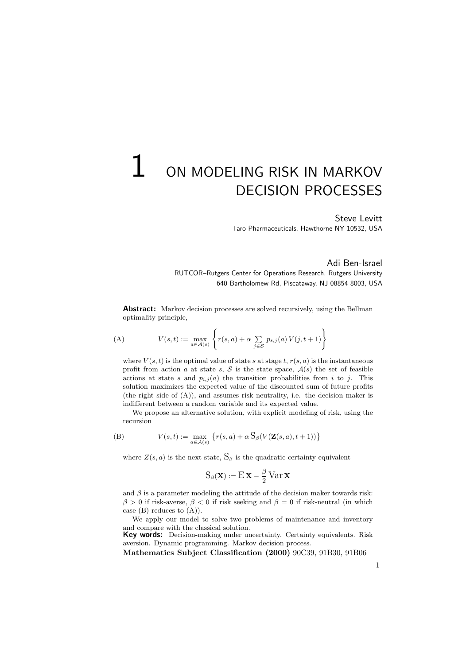# $1\,$  on modeling risk in Markov DECISION PROCESSES

Steve Levitt Taro Pharmaceuticals, Hawthorne NY 10532, USA

Adi Ben-Israel RUTCOR–Rutgers Center for Operations Research, Rutgers University 640 Bartholomew Rd, Piscataway, NJ 08854-8003, USA

Abstract: Markov decision processes are solved recursively, using the Bellman optimality principle,

(A) 
$$
V(s,t) := \max_{a \in \mathcal{A}(s)} \left\{ r(s,a) + \alpha \sum_{j \in \mathcal{S}} p_{s,j}(a) V(j,t+1) \right\}
$$

where  $V(s, t)$  is the optimal value of state s at stage t,  $r(s, a)$  is the instantaneous profit from action a at state s,  $S$  is the state space,  $A(s)$  the set of feasible actions at state s and  $p_{i,j}(a)$  the transition probabilities from i to j. This solution maximizes the expected value of the discounted sum of future profits (the right side of (A)), and assumes risk neutrality, i.e. the decision maker is indifferent between a random variable and its expected value.

We propose an alternative solution, with explicit modeling of risk, using the recursion

(B) 
$$
V(s,t) := \max_{a \in \mathcal{A}(s)} \left\{ r(s,a) + \alpha \, S_{\beta}(V(\mathbf{Z}(s,a),t+1)) \right\}
$$

where  $Z(s, a)$  is the next state,  $S_\beta$  is the quadratic certainty equivalent

$$
S_{\beta}(\mathbf{X}) := E \mathbf{X} - \frac{\beta}{2} \operatorname{Var} \mathbf{X}
$$

and  $\beta$  is a parameter modeling the attitude of the decision maker towards risk:  $\beta > 0$  if risk-averse,  $\beta < 0$  if risk seeking and  $\beta = 0$  if risk-neutral (in which case  $(B)$  reduces to  $(A)$ ).

We apply our model to solve two problems of maintenance and inventory

and compare with the classical solution.<br>Key words: Decision-making under uncertainty. Certainty equivalents. Risk aversion. Dynamic programming. Markov decision process.

Mathematics Subject Classification (2000) 90C39, 91B30, 91B06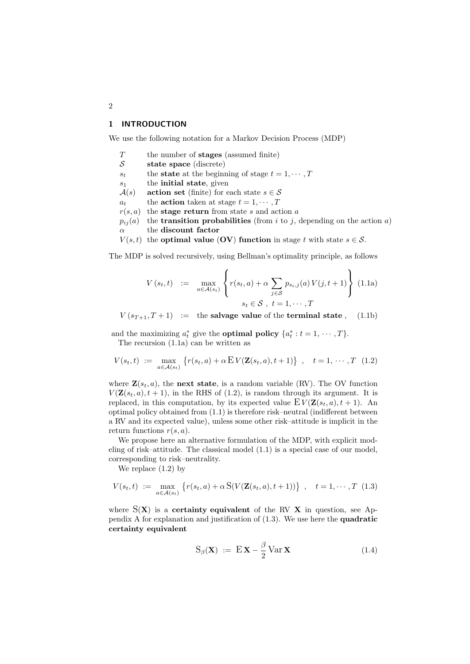## 1 INTRODUCTION

We use the following notation for a Markov Decision Process (MDP)

- $T$  the number of **stages** (assumed finite)
- $\mathcal{S}$  state space (discrete)
- $s_t$  the state at the beginning of stage  $t = 1, \dots, T$
- $s_1$  the **initial state**, given
- $A(s)$  action set (finite) for each state  $s \in \mathcal{S}$
- $a_t$  the **action** taken at stage  $t = 1, \dots, T$
- $r(s, a)$  the **stage return** from state s and action a
- $p_{ij}(a)$  the **transition probabilities** (from i to j, depending on the action a)  $\alpha$  the discount factor
- $V(s, t)$  the **optimal value (OV) function** in stage t with state  $s \in \mathcal{S}$ .

The MDP is solved recursively, using Bellman's optimality principle, as follows

$$
V(s_t, t) := \max_{a \in \mathcal{A}(s_t)} \left\{ r(s_t, a) + \alpha \sum_{j \in \mathcal{S}} p_{s_t, j}(a) V(j, t+1) \right\} (1.1a)
$$
  

$$
s_t \in \mathcal{S}, t = 1, \dots, T
$$

 $V(s_{T+1}, T+1) :=$  the salvage value of the terminal state, (1.1b)

and the maximizing  $a_t^*$  give the **optimal policy**  $\{a_t^*: t = 1, \dots, T\}.$ The recursion (1.1a) can be written as

$$
V(s_t, t) := \max_{a \in \mathcal{A}(s_t)} \left\{ r(s_t, a) + \alpha \mathbb{E} V(\mathbf{Z}(s_t, a), t + 1) \right\} , \quad t = 1, \cdots, T \quad (1.2)
$$

where  $\mathbf{Z}(s_t, a)$ , the next state, is a random variable (RV). The OV function  $V(\mathbf{Z}(s_t, a), t + 1)$ , in the RHS of (1.2), is random through its argument. It is replaced, in this computation, by its expected value  $E V(\mathbf{Z}(s_t, a), t + 1)$ . An optimal policy obtained from (1.1) is therefore risk–neutral (indifferent between a RV and its expected value), unless some other risk–attitude is implicit in the return functions  $r(s, a)$ .

We propose here an alternative formulation of the MDP, with explicit modeling of risk–attitude. The classical model (1.1) is a special case of our model, corresponding to risk–neutrality.

We replace (1.2) by

$$
V(s_t, t) := \max_{a \in \mathcal{A}(s_t)} \left\{ r(s_t, a) + \alpha \, S(V(\mathbf{Z}(s_t, a), t+1)) \right\} \,, \quad t = 1, \cdots, T \tag{1.3}
$$

where  $S(X)$  is a **certainty equivalent** of the RV  $X$  in question, see Appendix A for explanation and justification of (1.3). We use here the quadratic certainty equivalent

$$
S_{\beta}(\mathbf{X}) := E \mathbf{X} - \frac{\beta}{2} Var \mathbf{X}
$$
 (1.4)

2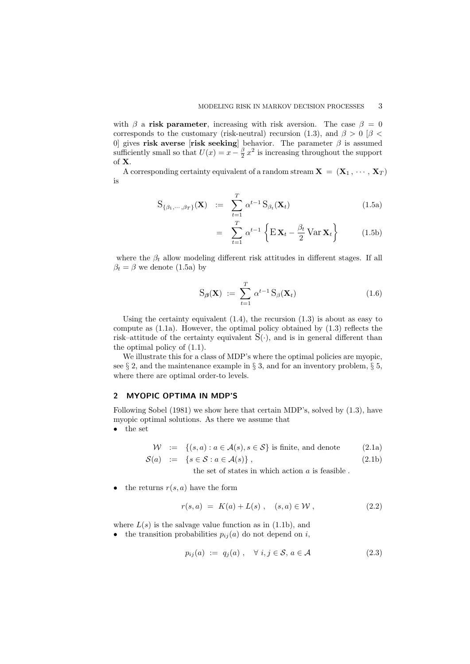with  $\beta$  a risk parameter, increasing with risk aversion. The case  $\beta = 0$ corresponds to the customary (risk-neutral) recursion (1.3), and  $\beta > 0$  [ $\beta$  < 0] gives risk averse [risk seeking] behavior. The parameter  $\beta$  is assumed sufficiently small so that  $U(x) = x - \frac{\beta}{2} x^2$  is increasing throughout the support of X.

A corresponding certainty equivalent of a random stream  $\mathbf{X} = (\mathbf{X}_1, \cdots, \mathbf{X}_T)$ is

$$
S_{\{\beta_1,\cdots,\beta_T\}}(\mathbf{X}) \quad := \quad \sum_{t=1}^T \alpha^{t-1} S_{\beta_t}(\mathbf{X}_t) \tag{1.5a}
$$

$$
= \sum_{t=1}^{T} \alpha^{t-1} \left\{ \mathbf{E} \mathbf{X}_t - \frac{\beta_t}{2} \text{Var} \mathbf{X}_t \right\} \qquad (1.5b)
$$

where the  $\beta_t$  allow modeling different risk attitudes in different stages. If all  $\beta_t = \beta$  we denote (1.5a) by

$$
S_{\beta}(\mathbf{X}) := \sum_{t=1}^{T} \alpha^{t-1} S_{\beta}(\mathbf{X}_t)
$$
\n(1.6)

Using the certainty equivalent  $(1.4)$ , the recursion  $(1.3)$  is about as easy to compute as  $(1.1a)$ . However, the optimal policy obtained by  $(1.3)$  reflects the risk–attitude of the certainty equivalent  $S(\cdot)$ , and is in general different than the optimal policy of (1.1).

We illustrate this for a class of MDP's where the optimal policies are myopic, see  $\S 2$ , and the maintenance example in  $\S 3$ , and for an inventory problem,  $\S 5$ , where there are optimal order-to levels.

## 2 MYOPIC OPTIMA IN MDP'S

Following Sobel (1981) we show here that certain MDP's, solved by (1.3), have myopic optimal solutions. As there we assume that

• the set

 $W := \{(s, a) : a \in \mathcal{A}(s), s \in \mathcal{S}\}\$ is finite, and denote (2.1a)

$$
S(a) := \{ s \in S : a \in \mathcal{A}(s) \}, \tag{2.1b}
$$

the set of states in which action  $a$  is feasible.

• the returns  $r(s, a)$  have the form

$$
r(s, a) = K(a) + L(s) , (s, a) \in W , \qquad (2.2)
$$

where  $L(s)$  is the salvage value function as in (1.1b), and

• the transition probabilities  $p_{ij}(a)$  do not depend on i,

$$
p_{ij}(a) := q_j(a), \quad \forall \ i, j \in \mathcal{S}, a \in \mathcal{A} \tag{2.3}
$$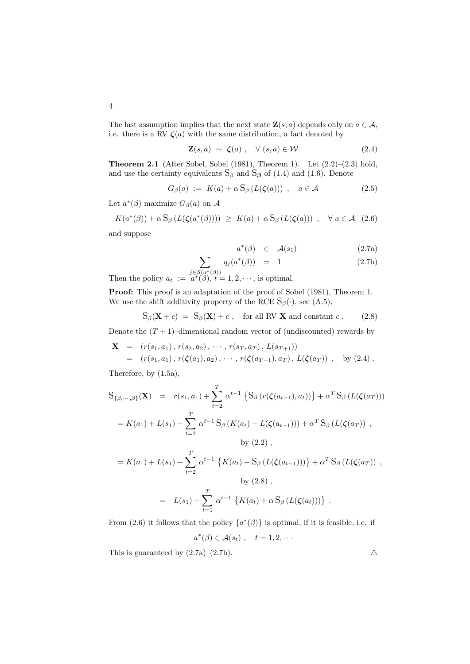4

The last assumption implies that the next state  $\mathbf{Z}(s, a)$  depends only on  $a \in \mathcal{A}$ , i.e. there is a RV  $\zeta(a)$  with the same distribution, a fact denoted by

$$
\mathbf{Z}(s, a) \sim \boldsymbol{\zeta}(a) , \quad \forall (s, a) \in \mathcal{W} \tag{2.4}
$$

**Theorem 2.1** (After Sobel, Sobel (1981), Theorem 1). Let  $(2.2)$ – $(2.3)$  hold, and use the certainty equivalents  $S_\beta$  and  $S_\beta$  of (1.4) and (1.6). Denote

$$
G_{\beta}(a) := K(a) + \alpha S_{\beta} (L(\zeta(a))) , \quad a \in \mathcal{A}
$$
 (2.5)

Let  $a^*(\beta)$  maximize  $G_\beta(a)$  on  $\mathcal A$ 

$$
K(a^*(\beta)) + \alpha S_{\beta} (L(\zeta(a^*(\beta)))) \geq K(a) + \alpha S_{\beta} (L(\zeta(a))) , \quad \forall a \in \mathcal{A} \quad (2.6)
$$

and suppose

$$
a^*(\beta) \in \mathcal{A}(s_1) \tag{2.7a}
$$

$$
\sum_{S(a^*(\beta))} q_j(a^*(\beta)) = 1 \tag{2.7b}
$$

Then the policy  $a_t := a^*(\beta), t = 1, 2, \cdots$ , is optimal.

Proof: This proof is an adaptation of the proof of Sobel (1981), Theorem 1. We use the shift additivity property of the RCE  $S_\beta(\cdot)$ , see (A.5),

$$
S_{\beta}(\mathbf{X} + c) = S_{\beta}(\mathbf{X}) + c , \text{ for all RV } \mathbf{X} \text{ and constant } c .
$$
 (2.8)

Denote the  $(T + 1)$ –dimensional random vector of (undiscounted) rewards by

$$
\mathbf{X} = (r(s_1, a_1), r(s_2, a_2), \cdots, r(s_T, a_T), L(s_{T+1}))
$$
  
=  $(r(s_1, a_1), r(\zeta(a_1), a_2), \cdots, r(\zeta(a_{T-1}), a_T), L(\zeta(a_T)),$  by (2.4).

Therefore, by (1.5a),

$$
S_{\{\beta,\cdots,\beta\}}(\mathbf{X}) = r(s_1, a_1) + \sum_{t=2}^{T} \alpha^{t-1} \left\{ S_{\beta} \left( r(\zeta(a_{t-1}), a_t) \right) \right\} + \alpha^T S_{\beta} \left( L(\zeta(a_T)) \right)
$$
  
\n
$$
= K(a_1) + L(s_1) + \sum_{t=2}^{T} \alpha^{t-1} S_{\beta} \left( K(a_t) + L(\zeta(a_{t-1})) \right) + \alpha^T S_{\beta} \left( L(\zeta(a_T)) \right),
$$
  
\nby (2.2),  
\n
$$
= K(a_1) + L(s_1) + \sum_{t=2}^{T} \alpha^{t-1} \left\{ K(a_t) + S_{\beta} \left( L(\zeta(a_{t-1})) \right) \right\} + \alpha^T S_{\beta} \left( L(\zeta(a_T)) \right),
$$
  
\nby (2.8),  
\n
$$
= L(s_1) + \sum_{t=1}^{T} \alpha^{t-1} \left\{ K(a_t) + \alpha S_{\beta} \left( L(\zeta(a_t)) \right) \right\}.
$$

From (2.6) it follows that the policy  $\{a^*(\beta)\}\$ is optimal, if it is feasible, i.e. if

$$
a^*(\beta) \in \mathcal{A}(s_t) , \quad t = 1, 2, \cdots
$$

This is guaranteed by  $(2.7a)-(2.7b)$ .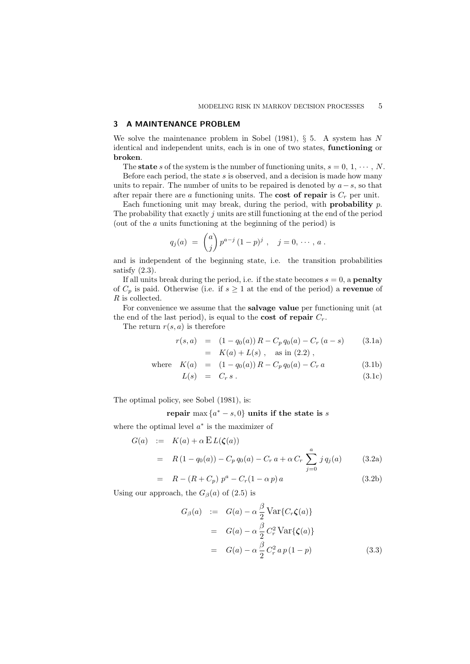## 3 A MAINTENANCE PROBLEM

We solve the maintenance problem in Sobel  $(1981)$ , § 5. A system has N identical and independent units, each is in one of two states, functioning or broken.

The state s of the system is the number of functioning units,  $s = 0, 1, \dots, N$ .

Before each period, the state  $s$  is observed, and a decision is made how many units to repair. The number of units to be repaired is denoted by  $a-s$ , so that after repair there are a functioning units. The **cost of repair** is  $C_r$  per unit.

Each functioning unit may break, during the period, with **probability**  $p$ . The probability that exactly  $j$  units are still functioning at the end of the period (out of the a units functioning at the beginning of the period) is

$$
q_j(a) = {a \choose j} p^{a-j} (1-p)^j , \quad j = 0, \cdots, a.
$$

and is independent of the beginning state, i.e. the transition probabilities satisfy  $(2.3)$ .

If all units break during the period, i.e. if the state becomes  $s = 0$ , a **penalty** of  $C_p$  is paid. Otherwise (i.e. if  $s \geq 1$  at the end of the period) a revenue of R is collected.

For convenience we assume that the salvage value per functioning unit (at the end of the last period), is equal to the **cost of repair**  $C_r$ .

The return  $r(s, a)$  is therefore

$$
r(s, a) = (1 - q_0(a)) R - C_p q_0(a) - C_r (a - s)
$$
 (3.1a)  
=  $K(a) + L(s)$ , as in (2.2),

where 
$$
K(a) = (1 - q_0(a)) R - C_p q_0(a) - C_r a
$$
 (3.1b)

$$
L(s) = C_r s. \t\t(3.1c)
$$

The optimal policy, see Sobel (1981), is:

repair max  $\{a^* - s, 0\}$  units if the state is s

where the optimal level  $a^*$  is the maximizer of

$$
G(a) := K(a) + \alpha E L(\zeta(a))
$$
  
=  $R(1 - q_0(a)) - C_p q_0(a) - C_r a + \alpha C_r \sum_{j=0}^{a} j q_j(a)$  (3.2a)

$$
= R - (R + C_p) p^a - C_r (1 - \alpha p) a \tag{3.2b}
$$

Using our approach, the  $G_{\beta}(a)$  of (2.5) is

$$
G_{\beta}(a) := G(a) - \alpha \frac{\beta}{2} \text{Var}\{C_r \zeta(a)\}
$$
  
= 
$$
G(a) - \alpha \frac{\beta}{2} C_r^2 \text{Var}\{\zeta(a)\}
$$
  
= 
$$
G(a) - \alpha \frac{\beta}{2} C_r^2 a p (1 - p) \qquad (3.3)
$$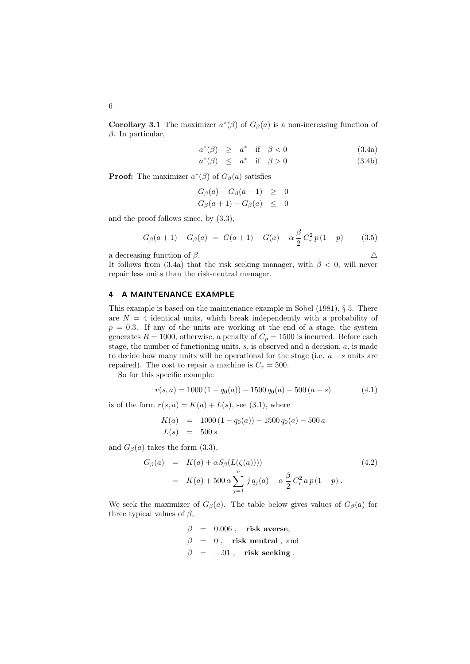**Corollary 3.1** The maximizer  $a^*(\beta)$  of  $G_\beta(a)$  is a non-increasing function of  $β$ . In particular,

$$
a^*(\beta) \ge a^* \quad \text{if} \quad \beta < 0 \tag{3.4a}
$$

$$
a^*(\beta) \le a^* \quad \text{if} \quad \beta > 0 \tag{3.4b}
$$

**Proof:** The maximizer  $a^*(\beta)$  of  $G_\beta(a)$  satisfies

$$
G_{\beta}(a) - G_{\beta}(a-1) \geq 0
$$
  

$$
G_{\beta}(a+1) - G_{\beta}(a) \leq 0
$$

and the proof follows since, by (3.3),

$$
G_{\beta}(a+1) - G_{\beta}(a) = G(a+1) - G(a) - \alpha \frac{\beta}{2} C_r^2 p (1-p) \qquad (3.5)
$$

a decreasing function of  $\beta$ .

$$
\mathcal{L}_{\mathcal{L}_{\mathcal{L}}}
$$

It follows from (3.4a) that the risk seeking manager, with  $\beta$  < 0, will never repair less units than the risk-neutral manager.

#### 4 A MAINTENANCE EXAMPLE

This example is based on the maintenance example in Sobel (1981), § 5. There are  $N = 4$  identical units, which break independently with a probability of  $p = 0.3$ . If any of the units are working at the end of a stage, the system generates  $R = 1000$ , otherwise, a penalty of  $C_p = 1500$  is incurred. Before each stage, the number of functioning units,  $s$ , is observed and a decision,  $a$ , is made to decide how many units will be operational for the stage (i.e.  $a - s$  units are repaired). The cost to repair a machine is  $C_r = 500$ .

So for this specific example:

$$
r(s, a) = 1000 (1 - q_0(a)) - 1500 q_0(a) - 500 (a - s)
$$
\n(4.1)

is of the form  $r(s, a) = K(a) + L(s)$ , see (3.1), where

$$
K(a) = 1000 (1 - q_0(a)) - 1500 q_0(a) - 500 a
$$
  
\n
$$
L(s) = 500 s
$$

and  $G_{\beta}(a)$  takes the form (3.3),

$$
G_{\beta}(a) = K(a) + \alpha S_{\beta}(L(\zeta(a)))) \qquad (4.2)
$$
  
=  $K(a) + 500 \alpha \sum_{j=1}^{a} j q_j(a) - \alpha \frac{\beta}{2} C_r^2 a p (1 - p).$ 

We seek the maximizer of  $G_\beta(a)$ . The table below gives values of  $G_\beta(a)$  for three typical values of  $\beta$ ,

> $\beta = 0.006$ , risk averse,  $\beta = 0$ , risk neutral, and  $\beta$  = -.01, risk seeking.

6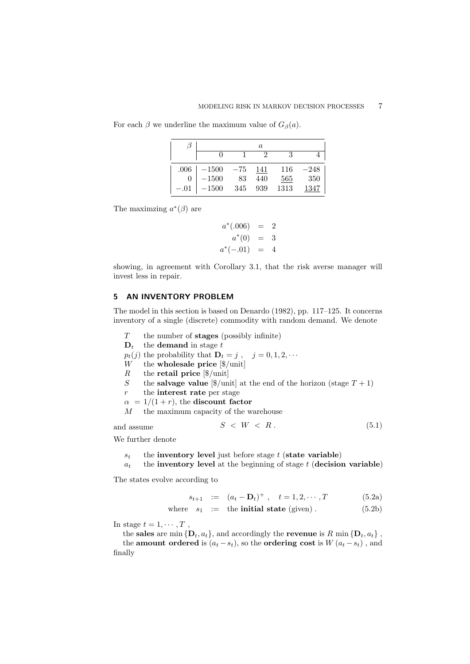|        |                  |             | а    |      |        |
|--------|------------------|-------------|------|------|--------|
|        |                  |             | 9    | 3    |        |
|        | $.006$   $-1500$ | $-75$ $141$ |      | 116  | $-248$ |
|        | $-1500$          | 83          | 440  | 565  | -350   |
| $-.01$ | $-1500\,$        | 345         | -939 | 1313 | 1347   |

For each  $\beta$  we underline the maximum value of  $G_{\beta}(a)$ .

The maximzing  $a^*(\beta)$  are

$$
a^*(.006) = 2
$$
  

$$
a^*(0) = 3
$$
  

$$
a^*(-.01) = 4
$$

showing, in agreement with Corollary 3.1, that the risk averse manager will invest less in repair.

## 5 AN INVENTORY PROBLEM

The model in this section is based on Denardo (1982), pp. 117–125. It concerns inventory of a single (discrete) commodity with random demand. We denote

- $T$  the number of **stages** (possibly infinite)
- $D_t$  the **demand** in stage t
- $p_t(j)$  the probability that  $\mathbf{D}_t = j$ ,  $j = 0, 1, 2, \cdots$
- W the **wholesale price**  $\sqrt{\frac{2}{\pi}}$
- R the retail price  $\left|\frac{6}{\text{unit}}\right|$
- S the salvage value  $[\frac{6}{\text{unit}}]$  at the end of the horizon (stage  $T + 1$ )
- $r$  the **interest rate** per stage
- $\alpha = 1/(1+r)$ , the discount factor
- M the maximum capacity of the warehouse

and assume 
$$
S < W < R. \tag{5.1}
$$

We further denote

 $s_t$  the inventory level just before stage t (state variable)

 $a_t$  the inventory level at the beginning of stage t (decision variable)

The states evolve according to

$$
s_{t+1} := (a_t - \mathbf{D}_t)^+ , \quad t = 1, 2, \cdots, T \tag{5.2a}
$$

where 
$$
s_1 :=
$$
 the **initial state** (given). 
$$
(5.2b)
$$

In stage  $t = 1, \cdots, T$ ,

the sales are min  $\{D_t, a_t\}$ , and accordingly the revenue is R min  $\{D_t, a_t\}$ , the **amount ordered** is  $(a_t - s_t)$ , so the **ordering cost** is  $W(a_t - s_t)$ , and finally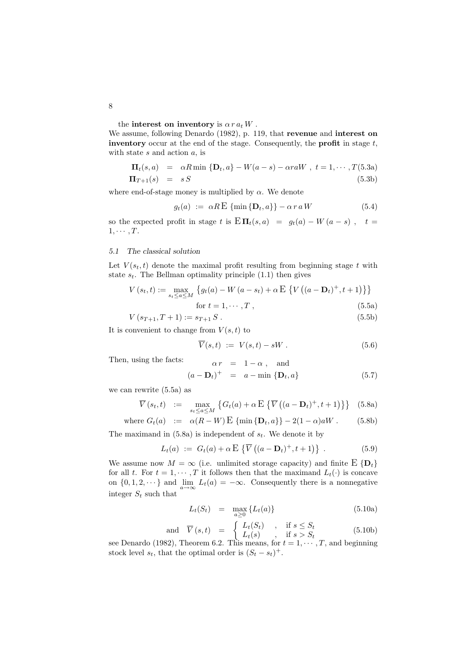the interest on inventory is  $\alpha \, r \, a_t \, W$  .

We assume, following Denardo (1982), p. 119, that revenue and interest on inventory occur at the end of the stage. Consequently, the **profit** in stage  $t$ , with state  $s$  and action  $a$ , is

$$
\Pi_t(s, a) = \alpha R \min \{ \mathbf{D}_t, a \} - W(a - s) - \alpha r a W, \ t = 1, \cdots, T(5.3a)
$$
  
\n
$$
\Pi_{T+1}(s) = s S \tag{5.3b}
$$

where end-of-stage money is multiplied by  $\alpha$ . We denote

$$
g_t(a) := \alpha R \mathbf{E} \{\min\{\mathbf{D}_t, a\}\} - \alpha r a W \tag{5.4}
$$

so the expected profit in stage t is  $E\Pi_t(s,a) = g_t(a) - W(a-s)$ ,  $t =$  $1, \cdots, T$ .

#### 5.1 The classical solution

Let  $V(s_t, t)$  denote the maximal profit resulting from beginning stage t with state  $s_t$ . The Bellman optimality principle  $(1.1)$  then gives

$$
V(s_t, t) := \max_{s_t \le a \le M} \{ g_t(a) - W(a - s_t) + \alpha \mathbb{E} \{ V((a - \mathbf{D}_t)^+, t + 1) \} \}
$$
  
for  $t = 1, \dots, T$ , (5.5a)

$$
V(s_{T+1}T+1) = s_{T+1}S
$$
\n(5.5b)

$$
V (ST+1, I+1) := ST+1 \, \varnothing \,. \tag{0.50}
$$

It is convenient to change from  $V(s,t)$  to

$$
\overline{V}(s,t) := V(s,t) - sW.
$$
\n(5.6)

Then, using the facts:

$$
\alpha r = 1 - \alpha , \text{ and}
$$

$$
(a - \mathbf{D}_t)^+ = a - \min \{ \mathbf{D}_t, a \}
$$
(5.7)

we can rewrite (5.5a) as

$$
\overline{V}(s_t, t) := \max_{s_t \le a \le M} \left\{ G_t(a) + \alpha \mathbf{E} \left\{ \overline{V} \left( (a - \mathbf{D}_t)^+, t + 1 \right) \right\} \right\} \tag{5.8a}
$$

where 
$$
G_t(a) := \alpha(R - W) \to \{\min\{\mathbf{D}_t, a\}\} - 2(1 - \alpha)aW
$$
. (5.8b)

The maximand in  $(5.8a)$  is independent of  $s_t$ . We denote it by

$$
L_t(a) := G_t(a) + \alpha \, \mathbf{E} \left\{ \overline{V} \left( (a - \mathbf{D}_t)^+, t + 1 \right) \right\} \, . \tag{5.9}
$$

We assume now  $M = \infty$  (i.e. unlimited storage capacity) and finite  $E\{\mathbf{D}_t\}$ for all t. For  $t = 1, \dots, T$  it follows then that the maximand  $L_t(\cdot)$  is concave on  $\{0, 1, 2, \dots\}$  and  $\lim_{a \to \infty} L_t(a) = -\infty$ . Consequently there is a nonnegative integer  $S_t$  such that

$$
L_t(S_t) = \max_{a \ge 0} \{ L_t(a) \}
$$
\n
$$
(5.10a)
$$

and 
$$
\overline{V}(s,t) = \begin{cases} L_t(S_t) & , \text{if } s \leq S_t \\ L_t(s) & , \text{if } s > S_t \end{cases}
$$
 (5.10b)

see Denardo (1982), Theorem 6.2. This means, for  $t = 1, \dots, T$ , and beginning stock level  $s_t$ , that the optimal order is  $(S_t - s_t)^+$ .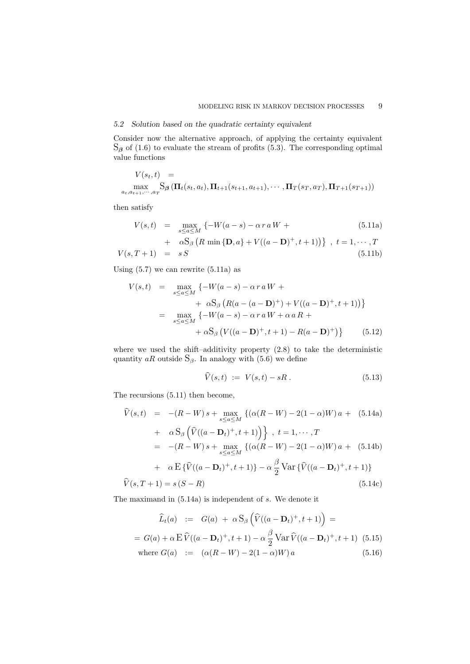## 5.2 Solution based on the quadratic certainty equivalent

Consider now the alternative approach, of applying the certainty equivalent  $S_{\beta}$  of (1.6) to evaluate the stream of profits (5.3). The corresponding optimal value functions

$$
V(s_t, t) = \max_{a_t, a_{t+1}, \dots, a_T} S_{\beta} (\Pi_t(s_t, a_t), \Pi_{t+1}(s_{t+1}, a_{t+1}), \dots, \Pi_T(s_T, a_T), \Pi_{T+1}(s_{T+1}))
$$

then satisfy

$$
V(s,t) = \max_{s \le a \le M} \left\{-W(a-s) - \alpha r a W + \right.\tag{5.11a}
$$

+ 
$$
\alpha S_{\beta}
$$
 (R min {**D**, a} + V((a - **D**)<sup>+</sup>, t + 1))}, t = 1, ..., T  
\nV(s, T + 1) = sS (5.11b)

Using  $(5.7)$  we can rewrite  $(5.11a)$  as

$$
V(s,t) = \max_{s \le a \le M} \{ -W(a-s) - \alpha r a W +
$$
  
+  $\alpha S_{\beta} (R(a - (a - D)^{+}) + V((a - D)^{+}, t + 1)) \}$   
=  $\max_{s \le a \le M} \{ -W(a-s) - \alpha r a W + \alpha a R +$   
+  $\alpha S_{\beta} (V((a - D)^{+}, t + 1) - R(a - D)^{+}) \}$  (5.12)

where we used the shift–additivity property  $(2.8)$  to take the deterministic quantity  $aR$  outside  $S_\beta$ . In analogy with (5.6) we define

$$
V(s,t) := V(s,t) - sR. \tag{5.13}
$$

The recursions (5.11) then become,

$$
\dot{V}(s,t) = -(R-W)s + \max_{s \le a \le M} \left\{ (\alpha(R-W) - 2(1-\alpha)W)a + (5.14a) + \alpha S_{\beta} \left( \hat{V}((a-\mathbf{D}_{t})^{+}, t+1) \right) \right\}, \ t = 1, \cdots, T
$$
\n
$$
= -(R-W)s + \max_{s \le a \le M} \left\{ (\alpha(R-W) - 2(1-\alpha)W)a + (5.14b) + \alpha E \left\{ \hat{V}((a-\mathbf{D}_{t})^{+}, t+1) \right\} - \alpha \frac{\beta}{2} \text{Var} \left\{ \hat{V}((a-\mathbf{D}_{t})^{+}, t+1) \right\}
$$
\n
$$
\hat{V}(s, T+1) = s(S-R) \tag{5.14c}
$$

The maximand in (5.14a) is independent of s. We denote it

$$
\widehat{L}_t(a) := G(a) + \alpha S_\beta \left( \widehat{V}((a - \mathbf{D}_t)^+, t + 1) \right) =
$$
\n
$$
= G(a) + \alpha \mathbf{E} \widehat{V}((a - \mathbf{D}_t)^+, t + 1) - \alpha \frac{\beta}{2} \text{Var} \widehat{V}((a - \mathbf{D}_t)^+, t + 1) \tag{5.15}
$$
\nwhere  $G(a) := (\alpha (R - W) - 2(1 - \alpha)W) a$  (5.16)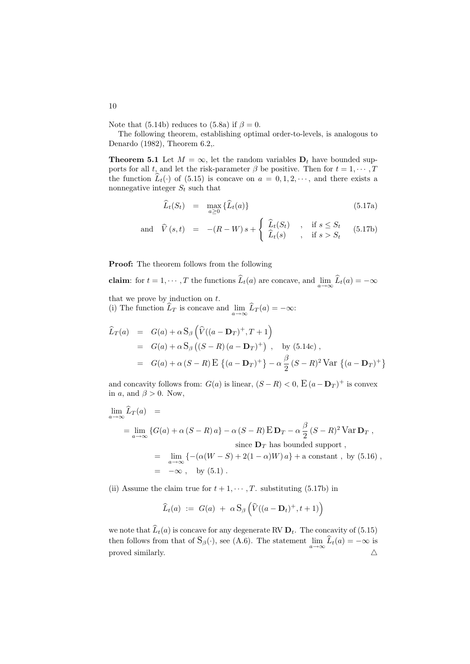Note that (5.14b) reduces to (5.8a) if  $\beta = 0$ .

The following theorem, establishing optimal order-to-levels, is analogous to Denardo (1982), Theorem 6.2,.

**Theorem 5.1** Let  $M = \infty$ , let the random variables  $D_t$  have bounded supports for all t, and let the risk-parameter  $\beta$  be positive. Then for  $t = 1, \dots, T$ the function  $\widehat{L}_t(\cdot)$  of (5.15) is concave on  $a = 0, 1, 2, \dots$ , and there exists a nonnegative integer  $S_t$  such that

$$
\widehat{L}_t(S_t) = \max_{a \ge 0} \{ \widehat{L}_t(a) \} \tag{5.17a}
$$

and 
$$
\widehat{V}(s,t) = -(R-W)s + \begin{cases} \widehat{L}_t(S_t) & , \text{if } s \leq S_t \\ \widehat{L}_t(s) & , \text{if } s > S_t \end{cases}
$$
 (5.17b)

Proof: The theorem follows from the following

claim: for  $t = 1, \dots, T$  the functions  $L_t(a)$  are concave, and  $\lim_{a \to \infty} L_t(a) = -\infty$ 

that we prove by induction on  $t$ . (i) The function  $L_T$  is concave and  $\lim_{a \to \infty} L_T(a) = -\infty$ :

$$
\hat{L}_T(a) = G(a) + \alpha S_\beta \left( \hat{V}((a - \mathbf{D}_T)^+, T + 1) \right)
$$
  
\n= G(a) + \alpha S\_\beta ((S - R)(a - \mathbf{D}\_T)^+) , by (5.14c),  
\n= G(a) + \alpha (S - R) E { (a - \mathbf{D}\_T)^+ } - \alpha \frac{\beta}{2} (S - R)^2 Var { (a - \mathbf{D}\_T)^+ }

and concavity follows from:  $G(a)$  is linear,  $(S - R) < 0$ ,  $E(a - D<sub>T</sub>)<sup>+</sup>$  is convex in a, and  $\beta > 0$ . Now,

$$
\lim_{a \to \infty} \hat{L}_T(a) =
$$
\n
$$
= \lim_{a \to \infty} \{ G(a) + \alpha (S - R) a \} - \alpha (S - R) \mathbf{E} \mathbf{D}_T - \alpha \frac{\beta}{2} (S - R)^2 \mathbf{Var} \mathbf{D}_T ,
$$
\nsince  $\mathbf{D}_T$  has bounded support,  
\n
$$
= \lim_{a \to \infty} \{ -(\alpha (W - S) + 2(1 - \alpha)W) a \} + \text{a constant, by (5.16)},
$$
\n
$$
= -\infty, \text{ by (5.1)}.
$$

(ii) Assume the claim true for  $t + 1, \dots, T$ . substituting (5.17b) in

$$
\widehat{L}_t(a) := G(a) + \alpha S_\beta \left( \widehat{V}((a - \mathbf{D}_t)^+, t + 1) \right)
$$

we note that  $\widehat{L}_t(a)$  is concave for any degenerate RV  $\mathbf{D}_t$ . The concavity of (5.15) then follows from that of  $S_\beta(\cdot)$ , see (A.6). The statement  $\lim_{a\to\infty} \hat{L}_t(a) = -\infty$  is proved similarly.  $\triangle$ 

10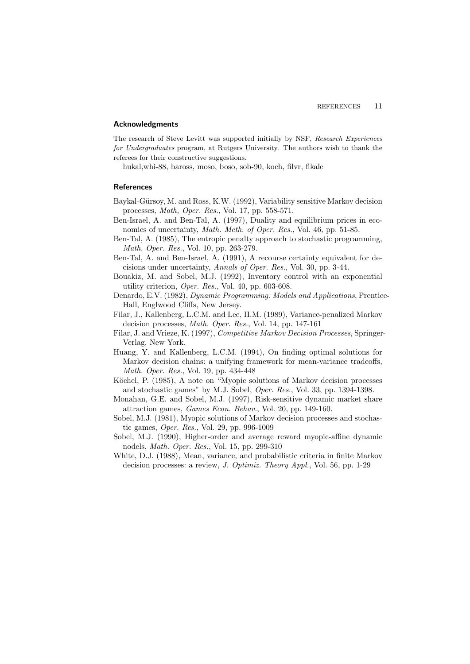#### Acknowledgments

The research of Steve Levitt was supported initially by NSF, Research Experiences for Undergraduates program, at Rutgers University. The authors wish to thank the referees for their constructive suggestions.

hukal,whi-88, baross, moso, boso, sob-90, koch, filvr, fikale

#### **References**

- Baykal-Gürsoy, M. and Ross, K.W. (1992), Variability sensitive Markov decision processes, Math, Oper. Res., Vol. 17, pp. 558-571.
- Ben-Israel, A. and Ben-Tal, A. (1997), Duality and equilibrium prices in economics of uncertainty, Math. Meth. of Oper. Res., Vol. 46, pp. 51-85.
- Ben-Tal, A. (1985), The entropic penalty approach to stochastic programming, Math. Oper. Res., Vol. 10, pp. 263-279.
- Ben-Tal, A. and Ben-Israel, A. (1991), A recourse certainty equivalent for decisions under uncertainty, Annals of Oper. Res., Vol. 30, pp. 3-44.
- Bouakiz, M. and Sobel, M.J. (1992), Inventory control with an exponential utility criterion, Oper. Res., Vol. 40, pp. 603-608.
- Denardo, E.V. (1982), Dynamic Programming: Models and Applications, Prentice-Hall, Englwood Cliffs, New Jersey.
- Filar, J., Kallenberg, L.C.M. and Lee, H.M. (1989), Variance-penalized Markov decision processes, Math. Oper. Res., Vol. 14, pp. 147-161
- Filar, J. and Vrieze, K. (1997), Competitive Markov Decision Processes, Springer-Verlag, New York.
- Huang, Y. and Kallenberg, L.C.M. (1994), On finding optimal solutions for Markov decision chains: a unifying framework for mean-variance tradeoffs, Math. Oper. Res., Vol. 19, pp. 434-448
- Köchel, P. (1985), A note on "Myopic solutions of Markov decision processes and stochastic games" by M.J. Sobel, Oper. Res., Vol. 33, pp. 1394-1398.
- Monahan, G.E. and Sobel, M.J. (1997), Risk-sensitive dynamic market share attraction games, Games Econ. Behav., Vol. 20, pp. 149-160.
- Sobel, M.J. (1981), Myopic solutions of Markov decision processes and stochastic games, Oper. Res., Vol. 29, pp. 996-1009
- Sobel, M.J. (1990), Higher-order and average reward myopic-affine dynamic nodels, Math. Oper. Res., Vol. 15, pp. 299-310
- White, D.J. (1988), Mean, variance, and probabilistic criteria in finite Markov decision processes: a review, J. Optimiz. Theory Appl., Vol. 56, pp. 1-29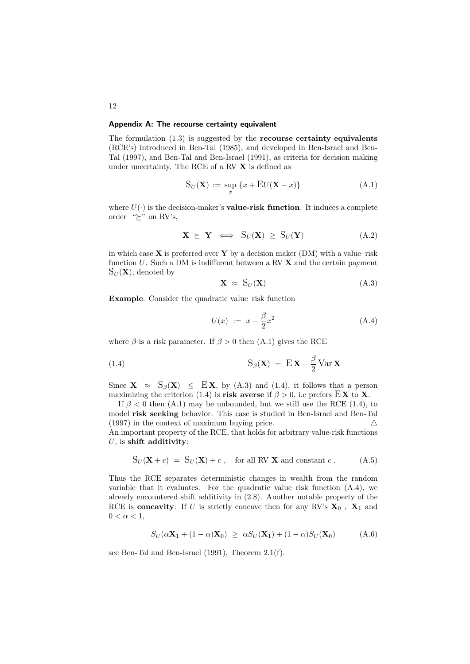## Appendix A: The recourse certainty equivalent

The formulation  $(1.3)$  is suggested by the **recourse certainty equivalents** (RCE's) introduced in Ben-Tal (1985), and developed in Ben-Israel and Ben-Tal (1997), and Ben-Tal and Ben-Israel (1991), as criteria for decision making under uncertainty. The RCE of a RV X is defined as

$$
S_U(\mathbf{X}) := \sup_x \{x + \mathbf{E}U(\mathbf{X} - x)\}\tag{A.1}
$$

where  $U(\cdot)$  is the decision-maker's **value-risk function**. It induces a complete order " $\succeq$ " on RV's,

$$
\mathbf{X} \succeq \mathbf{Y} \iff S_U(\mathbf{X}) \ge S_U(\mathbf{Y}) \tag{A.2}
$$

in which case  $X$  is preferred over  $Y$  by a decision maker (DM) with a value–risk function  $U$ . Such a DM is indifferent between a RV  $\bf{X}$  and the certain payment  $S_U(\mathbf{X})$ , denoted by

$$
\mathbf{X} \approx \mathbf{S}_U(\mathbf{X}) \tag{A.3}
$$

Example. Consider the quadratic value–risk function

$$
U(x) := x - \frac{\beta}{2}x^2
$$
 (A.4)

where  $\beta$  is a risk parameter. If  $\beta > 0$  then (A.1) gives the RCE

(1.4) 
$$
S_{\beta}(\mathbf{X}) = E \mathbf{X} - \frac{\beta}{2} Var \mathbf{X}
$$

Since  $X \approx S_\beta(X) \leq EX$ , by (A.3) and (1.4), it follows that a person maximizing the criterion (1.4) is risk averse if  $\beta > 0$ , i.e prefers  $\mathbf{E} \mathbf{X}$  to **X**.

If  $\beta$  < 0 then (A.1) may be unbounded, but we still use the RCE (1.4), to model risk seeking behavior. This case is studied in Ben-Israel and Ben-Tal (1997) in the context of maximum buying price.  $\triangle$ An important property of the RCE, that holds for arbitrary value-risk functions  $U$ , is shift additivity:

$$
S_U(\mathbf{X} + c) = S_U(\mathbf{X}) + c, \text{ for all RV } \mathbf{X} \text{ and constant } c. \tag{A.5}
$$

Thus the RCE separates deterministic changes in wealth from the random variable that it evaluates. For the quadratic value–risk function (A.4), we already encountered shift additivity in (2.8). Another notable property of the RCE is **concavity**: If U is strictly concave then for any RV's  $X_0$ ,  $X_1$  and  $0 < \alpha < 1$ ,

$$
S_U(\alpha \mathbf{X}_1 + (1 - \alpha)\mathbf{X}_0) \geq \alpha S_U(\mathbf{X}_1) + (1 - \alpha)S_U(\mathbf{X}_0)
$$
 (A.6)

see Ben-Tal and Ben-Israel (1991), Theorem 2.1(f).